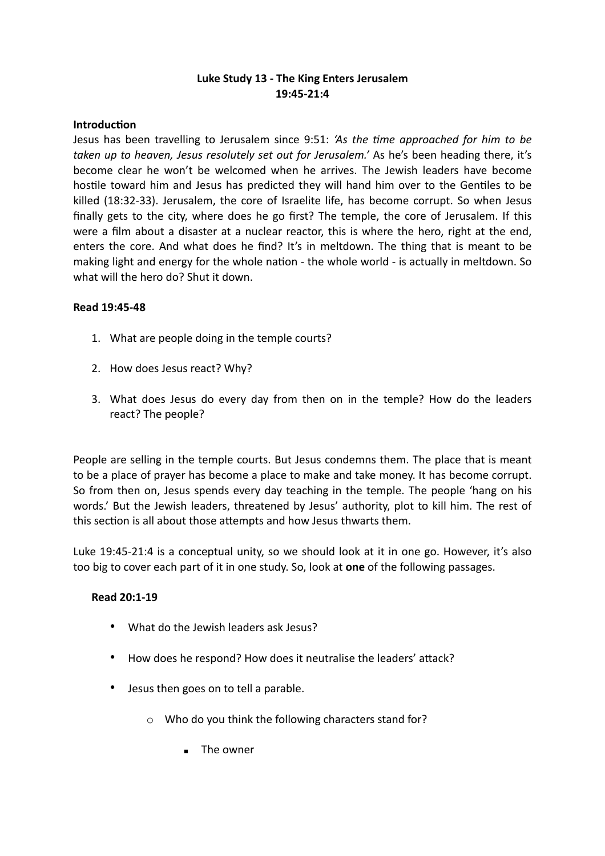# **Luke Study 13 - The King Enters Jerusalem 19:45-21:4**

#### **Introduction**

Jesus has been travelling to Jerusalem since 9:51: *'As the time approached for him to be taken up to heaven, Jesus resolutely set out for Jerusalem.'* As he's been heading there, it's become clear he won't be welcomed when he arrives. The Jewish leaders have become hostile toward him and Jesus has predicted they will hand him over to the Gentiles to be killed (18:32-33). Jerusalem, the core of Israelite life, has become corrupt. So when Jesus finally gets to the city, where does he go first? The temple, the core of Jerusalem. If this were a film about a disaster at a nuclear reactor, this is where the hero, right at the end, enters the core. And what does he find? It's in meltdown. The thing that is meant to be making light and energy for the whole nation - the whole world - is actually in meltdown. So what will the hero do? Shut it down.

#### **Read 19:45-48**

- 1. What are people doing in the temple courts?
- 2. How does Jesus react? Why?
- 3. What does Jesus do every day from then on in the temple? How do the leaders react? The people?

People are selling in the temple courts. But Jesus condemns them. The place that is meant to be a place of prayer has become a place to make and take money. It has become corrupt. So from then on, Jesus spends every day teaching in the temple. The people 'hang on his words.' But the Jewish leaders, threatened by Jesus' authority, plot to kill him. The rest of this section is all about those attempts and how Jesus thwarts them.

Luke 19:45-21:4 is a conceptual unity, so we should look at it in one go. However, it's also too big to cover each part of it in one study. So, look at **one** of the following passages.

# **Read 20:1-19**

- What do the Jewish leaders ask Jesus?
- How does he respond? How does it neutralise the leaders' attack?
- Jesus then goes on to tell a parable.
	- o Who do you think the following characters stand for?
		- The owner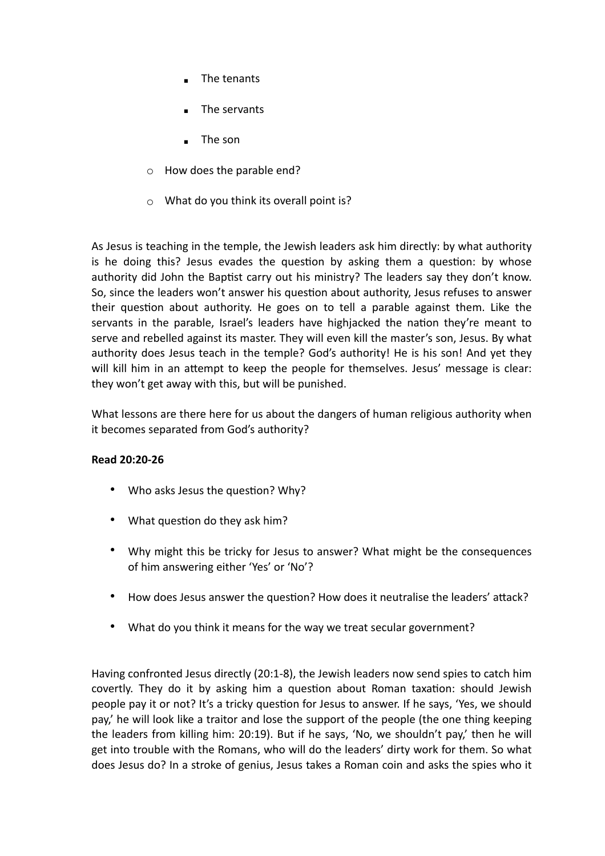- The tenants
- The servants
- The son
- o How does the parable end?
- o What do you think its overall point is?

As Jesus is teaching in the temple, the Jewish leaders ask him directly: by what authority is he doing this? Jesus evades the question by asking them a question: by whose authority did John the Baptist carry out his ministry? The leaders say they don't know. So, since the leaders won't answer his question about authority, Jesus refuses to answer their question about authority. He goes on to tell a parable against them. Like the servants in the parable, Israel's leaders have highjacked the nation they're meant to serve and rebelled against its master. They will even kill the master's son, Jesus. By what authority does Jesus teach in the temple? God's authority! He is his son! And yet they will kill him in an attempt to keep the people for themselves. Jesus' message is clear: they won't get away with this, but will be punished.

What lessons are there here for us about the dangers of human religious authority when it becomes separated from God's authority?

# **Read 20:20-26**

- Who asks Jesus the question? Why?
- What question do they ask him?
- Why might this be tricky for Jesus to answer? What might be the consequences of him answering either 'Yes' or 'No'?
- How does Jesus answer the question? How does it neutralise the leaders' attack?
- What do you think it means for the way we treat secular government?

Having confronted Jesus directly (20:1-8), the Jewish leaders now send spies to catch him covertly. They do it by asking him a question about Roman taxation: should Jewish people pay it or not? It's a tricky question for Jesus to answer. If he says, 'Yes, we should pay,' he will look like a traitor and lose the support of the people (the one thing keeping the leaders from killing him: 20:19). But if he says, 'No, we shouldn't pay,' then he will get into trouble with the Romans, who will do the leaders' dirty work for them. So what does Jesus do? In a stroke of genius, Jesus takes a Roman coin and asks the spies who it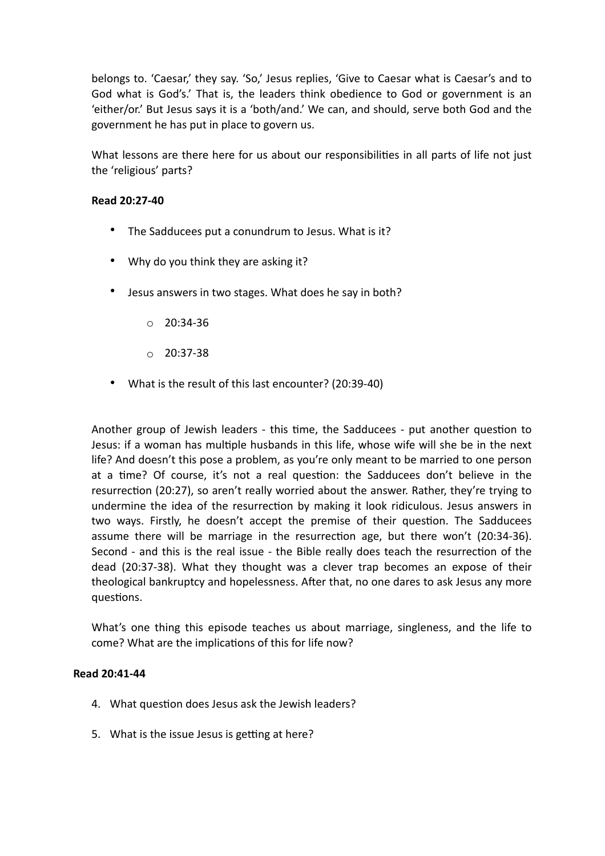belongs to. 'Caesar,' they say. 'So,' Jesus replies, 'Give to Caesar what is Caesar's and to God what is God's.' That is, the leaders think obedience to God or government is an 'either/or.' But Jesus says it is a 'both/and.' We can, and should, serve both God and the government he has put in place to govern us.

What lessons are there here for us about our responsibilities in all parts of life not just the 'religious' parts?

#### **Read 20:27-40**

- The Sadducees put a conundrum to Jesus. What is it?
- Why do you think they are asking it?
- Jesus answers in two stages. What does he say in both?
	- $O$  20:34-36
	- $O$  20:37-38
- What is the result of this last encounter? (20:39-40)

Another group of Jewish leaders - this time, the Sadducees - put another question to Jesus: if a woman has multiple husbands in this life, whose wife will she be in the next life? And doesn't this pose a problem, as you're only meant to be married to one person at a time? Of course, it's not a real question: the Sadducees don't believe in the resurrection (20:27), so aren't really worried about the answer. Rather, they're trying to undermine the idea of the resurrection by making it look ridiculous. Jesus answers in two ways. Firstly, he doesn't accept the premise of their question. The Sadducees assume there will be marriage in the resurrection age, but there won't (20:34-36). Second - and this is the real issue - the Bible really does teach the resurrection of the dead (20:37-38). What they thought was a clever trap becomes an expose of their theological bankruptcy and hopelessness. After that, no one dares to ask Jesus any more questions.

What's one thing this episode teaches us about marriage, singleness, and the life to come? What are the implications of this for life now?

#### **Read 20:41-44**

- 4. What question does Jesus ask the Jewish leaders?
- 5. What is the issue Jesus is getting at here?